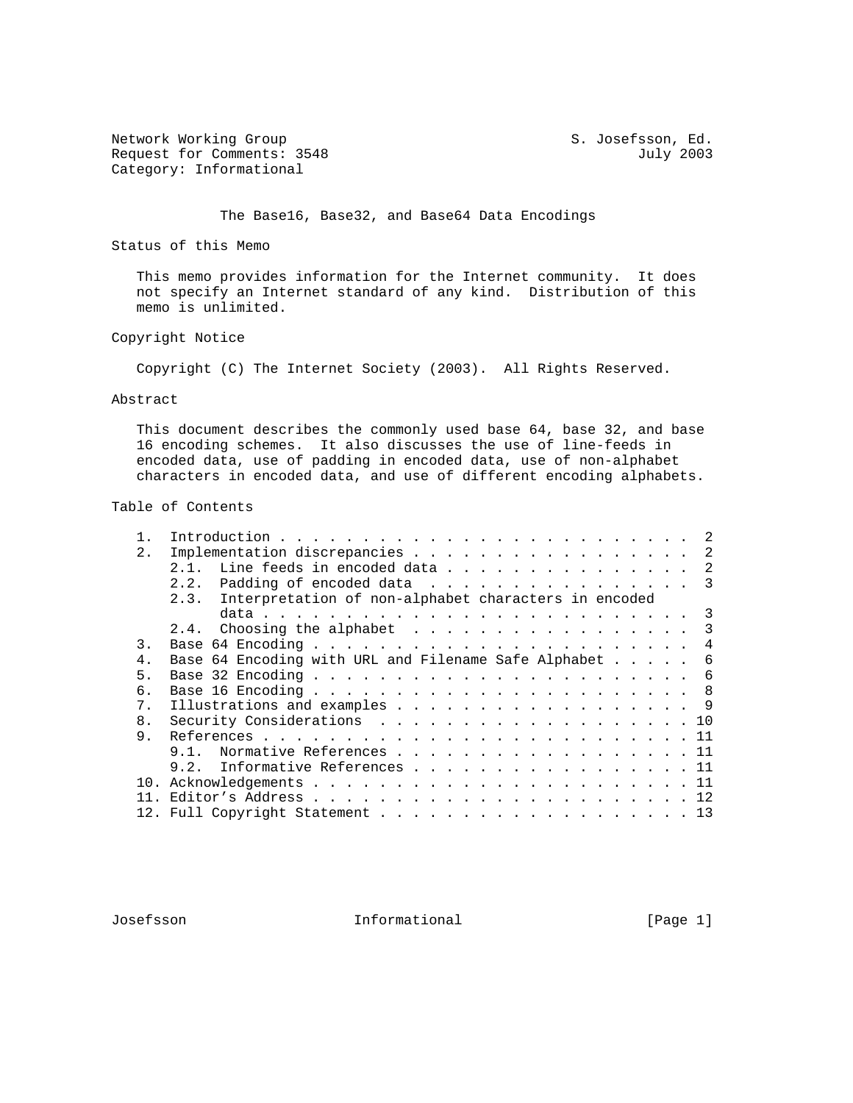Network Working Group S. Josefsson, Ed. Request for Comments: 3548 July 2003 Category: Informational

The Base16, Base32, and Base64 Data Encodings

Status of this Memo

 This memo provides information for the Internet community. It does not specify an Internet standard of any kind. Distribution of this memo is unlimited.

## Copyright Notice

Copyright (C) The Internet Society (2003). All Rights Reserved.

#### Abstract

 This document describes the commonly used base 64, base 32, and base 16 encoding schemes. It also discusses the use of line-feeds in encoded data, use of padding in encoded data, use of non-alphabet characters in encoded data, and use of different encoding alphabets.

## Table of Contents

| 2.<br>2.3. Interpretation of non-alphabet characters in encoded<br>3.<br>4<br>5.<br>б.<br>7 <sub>1</sub><br>8 <sub>1</sub><br>9.<br>$9.1$ . |  |                                                        |
|---------------------------------------------------------------------------------------------------------------------------------------------|--|--------------------------------------------------------|
|                                                                                                                                             |  | Implementation discrepancies 2                         |
|                                                                                                                                             |  | 2.1. Line feeds in encoded data 2                      |
|                                                                                                                                             |  | 2.2. Padding of encoded data $\ldots$ 3                |
|                                                                                                                                             |  |                                                        |
|                                                                                                                                             |  |                                                        |
|                                                                                                                                             |  | 2.4. Choosing the alphabet $\ldots$ 3                  |
|                                                                                                                                             |  |                                                        |
|                                                                                                                                             |  | Base 64 Encoding with URL and Filename Safe Alphabet 6 |
|                                                                                                                                             |  |                                                        |
|                                                                                                                                             |  |                                                        |
|                                                                                                                                             |  | Illustrations and examples 9                           |
|                                                                                                                                             |  | Security Considerations 10                             |
|                                                                                                                                             |  |                                                        |
|                                                                                                                                             |  | Normative References 11                                |
|                                                                                                                                             |  | 9.2. Informative References 11                         |
|                                                                                                                                             |  |                                                        |
|                                                                                                                                             |  |                                                        |
|                                                                                                                                             |  |                                                        |

Josefsson Informational [Page 1]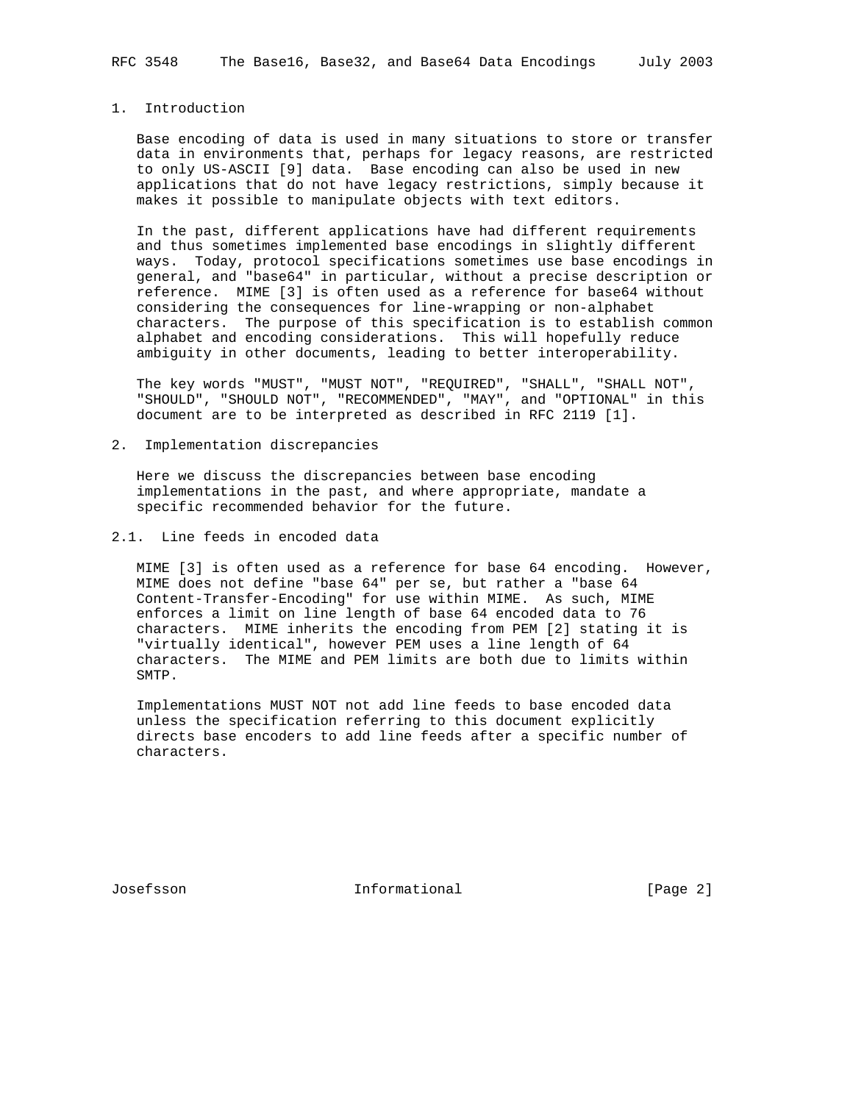RFC 3548 The Base16, Base32, and Base64 Data Encodings July 2003

## 1. Introduction

 Base encoding of data is used in many situations to store or transfer data in environments that, perhaps for legacy reasons, are restricted to only US-ASCII [9] data. Base encoding can also be used in new applications that do not have legacy restrictions, simply because it makes it possible to manipulate objects with text editors.

 In the past, different applications have had different requirements and thus sometimes implemented base encodings in slightly different ways. Today, protocol specifications sometimes use base encodings in general, and "base64" in particular, without a precise description or reference. MIME [3] is often used as a reference for base64 without considering the consequences for line-wrapping or non-alphabet characters. The purpose of this specification is to establish common alphabet and encoding considerations. This will hopefully reduce ambiguity in other documents, leading to better interoperability.

 The key words "MUST", "MUST NOT", "REQUIRED", "SHALL", "SHALL NOT", "SHOULD", "SHOULD NOT", "RECOMMENDED", "MAY", and "OPTIONAL" in this document are to be interpreted as described in RFC 2119 [1].

2. Implementation discrepancies

 Here we discuss the discrepancies between base encoding implementations in the past, and where appropriate, mandate a specific recommended behavior for the future.

2.1. Line feeds in encoded data

 MIME [3] is often used as a reference for base 64 encoding. However, MIME does not define "base 64" per se, but rather a "base 64 Content-Transfer-Encoding" for use within MIME. As such, MIME enforces a limit on line length of base 64 encoded data to 76 characters. MIME inherits the encoding from PEM [2] stating it is "virtually identical", however PEM uses a line length of 64 characters. The MIME and PEM limits are both due to limits within SMTP.

 Implementations MUST NOT not add line feeds to base encoded data unless the specification referring to this document explicitly directs base encoders to add line feeds after a specific number of characters.

Josefsson Informational [Page 2]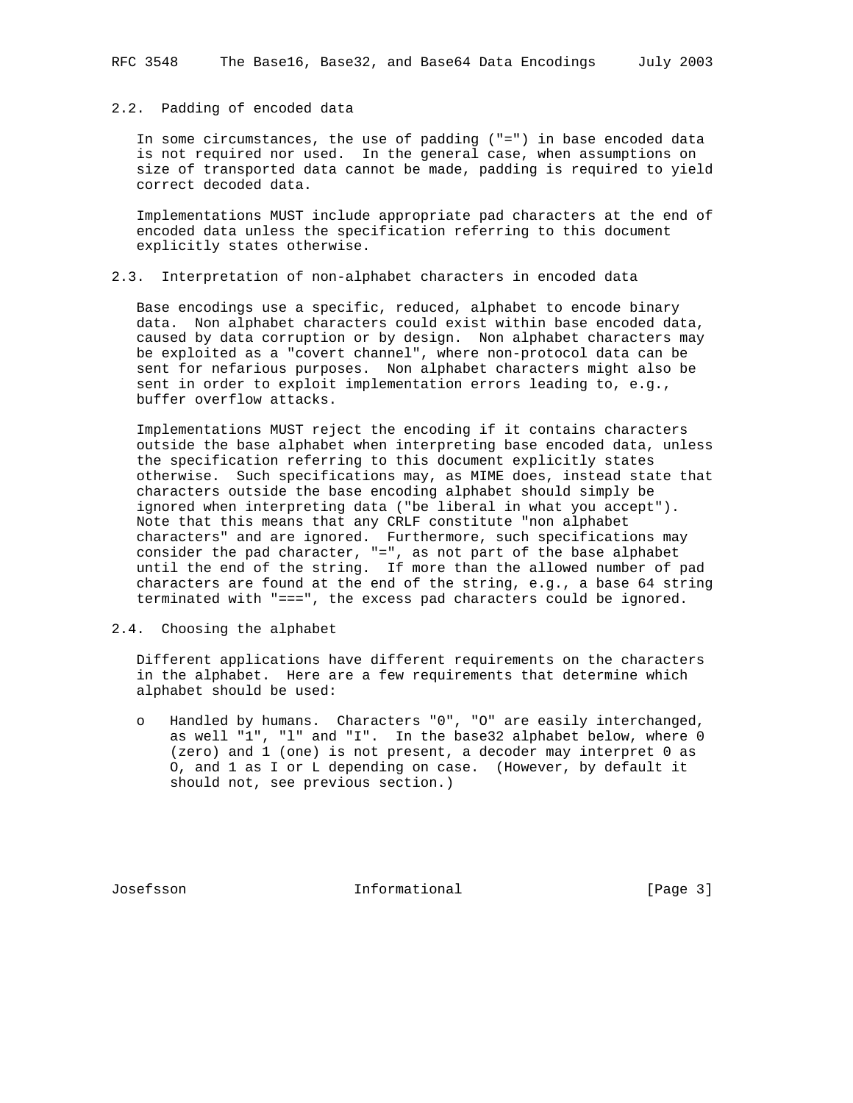## 2.2. Padding of encoded data

 In some circumstances, the use of padding ("=") in base encoded data is not required nor used. In the general case, when assumptions on size of transported data cannot be made, padding is required to yield correct decoded data.

 Implementations MUST include appropriate pad characters at the end of encoded data unless the specification referring to this document explicitly states otherwise.

## 2.3. Interpretation of non-alphabet characters in encoded data

 Base encodings use a specific, reduced, alphabet to encode binary data. Non alphabet characters could exist within base encoded data, caused by data corruption or by design. Non alphabet characters may be exploited as a "covert channel", where non-protocol data can be sent for nefarious purposes. Non alphabet characters might also be sent in order to exploit implementation errors leading to, e.g., buffer overflow attacks.

 Implementations MUST reject the encoding if it contains characters outside the base alphabet when interpreting base encoded data, unless the specification referring to this document explicitly states otherwise. Such specifications may, as MIME does, instead state that characters outside the base encoding alphabet should simply be ignored when interpreting data ("be liberal in what you accept"). Note that this means that any CRLF constitute "non alphabet characters" and are ignored. Furthermore, such specifications may consider the pad character, "=", as not part of the base alphabet until the end of the string. If more than the allowed number of pad characters are found at the end of the string, e.g., a base 64 string terminated with "===", the excess pad characters could be ignored.

## 2.4. Choosing the alphabet

 Different applications have different requirements on the characters in the alphabet. Here are a few requirements that determine which alphabet should be used:

 o Handled by humans. Characters "0", "O" are easily interchanged, as well "1", "l" and "I". In the base32 alphabet below, where 0 (zero) and 1 (one) is not present, a decoder may interpret 0 as O, and 1 as I or L depending on case. (However, by default it should not, see previous section.)

Josefsson Informational [Page 3]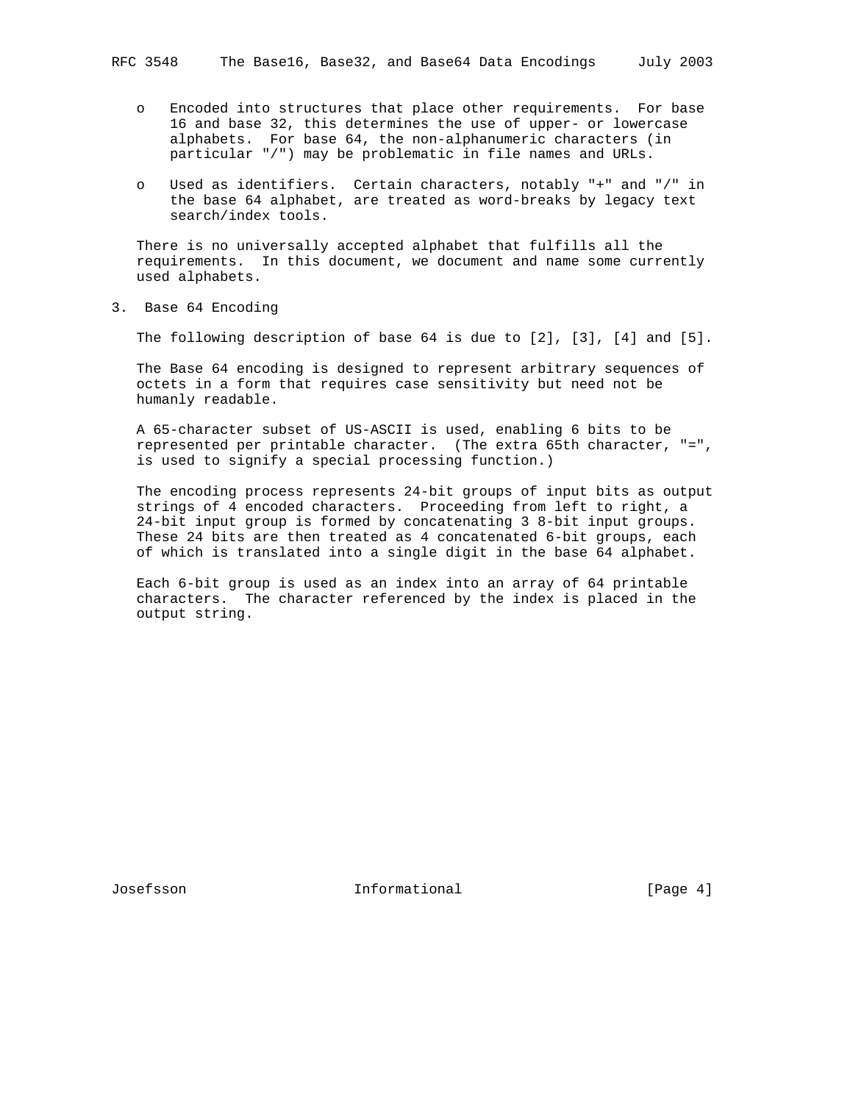- o Encoded into structures that place other requirements. For base 16 and base 32, this determines the use of upper- or lowercase alphabets. For base 64, the non-alphanumeric characters (in particular "/") may be problematic in file names and URLs.
- o Used as identifiers. Certain characters, notably "+" and "/" in the base 64 alphabet, are treated as word-breaks by legacy text search/index tools.

 There is no universally accepted alphabet that fulfills all the requirements. In this document, we document and name some currently used alphabets.

3. Base 64 Encoding

The following description of base 64 is due to [2], [3], [4] and [5].

 The Base 64 encoding is designed to represent arbitrary sequences of octets in a form that requires case sensitivity but need not be humanly readable.

 A 65-character subset of US-ASCII is used, enabling 6 bits to be represented per printable character. (The extra 65th character, "=", is used to signify a special processing function.)

 The encoding process represents 24-bit groups of input bits as output strings of 4 encoded characters. Proceeding from left to right, a 24-bit input group is formed by concatenating 3 8-bit input groups. These 24 bits are then treated as 4 concatenated 6-bit groups, each of which is translated into a single digit in the base 64 alphabet.

 Each 6-bit group is used as an index into an array of 64 printable characters. The character referenced by the index is placed in the output string.

Josefsson Informational [Page 4]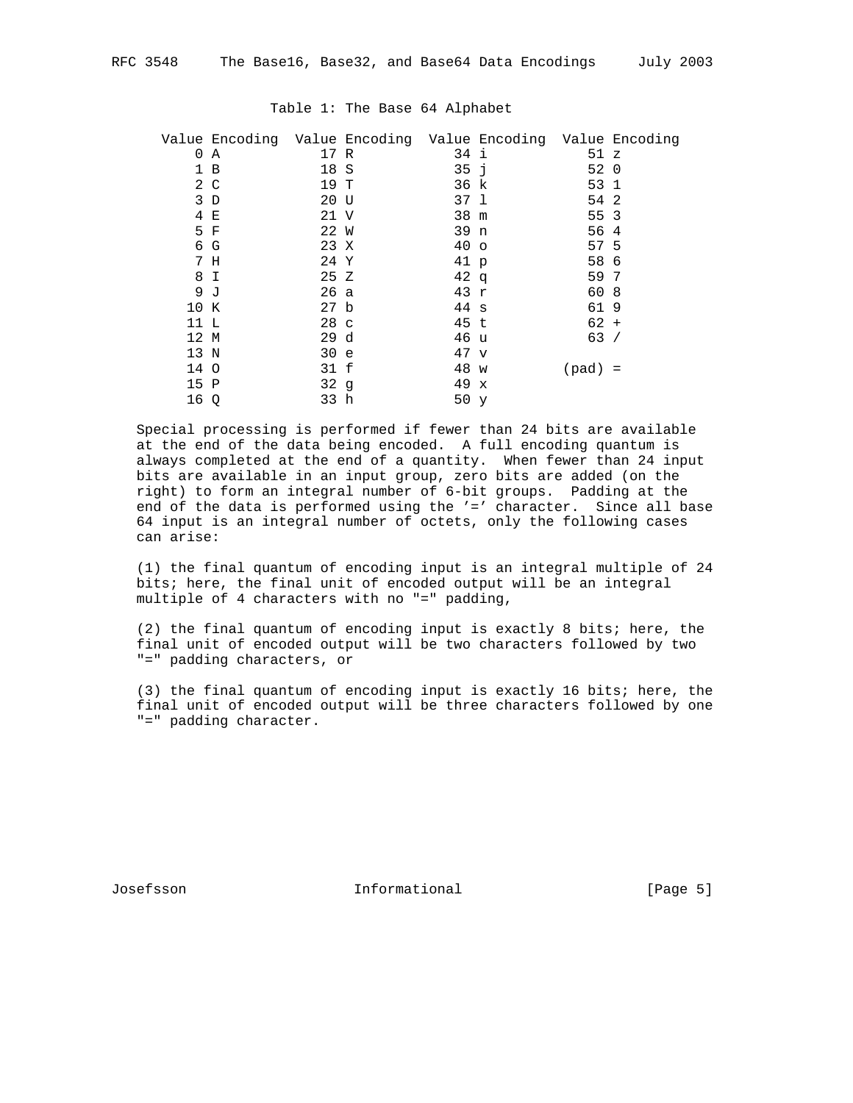|          | Value Encoding Value Encoding Value Encoding Value Encoding |                 |                 |           |  |
|----------|-------------------------------------------------------------|-----------------|-----------------|-----------|--|
| $\Omega$ | A                                                           | 17 R            | 34 i            | 51 z      |  |
|          | 1 B                                                         | 18 S            | 35 <sub>1</sub> | 52 0      |  |
|          | 2 C                                                         | 19 T            | 36 k            | 53 1      |  |
|          | 3D                                                          | 20 U            | 37 1            | 54 2      |  |
|          | 4 E                                                         | 21 V            | 38 m            | 55 3      |  |
|          | 5 F                                                         | 22 W            | 39 n            | 56 4      |  |
|          | 6 G                                                         | 23 X            | 40 <sub>o</sub> | 57 5      |  |
|          | 7 H                                                         | 24 Y            | 41 p            | 58 6      |  |
|          | 8 I                                                         | 25 Z            | 42q             | 59 7      |  |
|          | 9 J                                                         | 26a             | 43 r            | 60 8      |  |
| 10 K     |                                                             | 27 b            | $44 \text{ s}$  | 619       |  |
| 11 L     |                                                             | 28 <sub>c</sub> | 45 t            | $62 +$    |  |
| 12 M     |                                                             | 29d             | 46 u            | 63/       |  |
| 13 N     |                                                             | 30e             | 47 v            |           |  |
| 14 O     |                                                             | 31 f            | 48 w            | $(pad) =$ |  |
| 15 P     |                                                             | 32g             | 49 x            |           |  |
| 16 Q     |                                                             | 33 h            | 50 y            |           |  |
|          |                                                             |                 |                 |           |  |

### Table 1: The Base 64 Alphabet

 Special processing is performed if fewer than 24 bits are available at the end of the data being encoded. A full encoding quantum is always completed at the end of a quantity. When fewer than 24 input bits are available in an input group, zero bits are added (on the right) to form an integral number of 6-bit groups. Padding at the end of the data is performed using the '=' character. Since all base 64 input is an integral number of octets, only the following cases can arise:

 (1) the final quantum of encoding input is an integral multiple of 24 bits; here, the final unit of encoded output will be an integral multiple of 4 characters with no "=" padding,

 (2) the final quantum of encoding input is exactly 8 bits; here, the final unit of encoded output will be two characters followed by two "=" padding characters, or

 (3) the final quantum of encoding input is exactly 16 bits; here, the final unit of encoded output will be three characters followed by one "=" padding character.

Josefsson Informational [Page 5]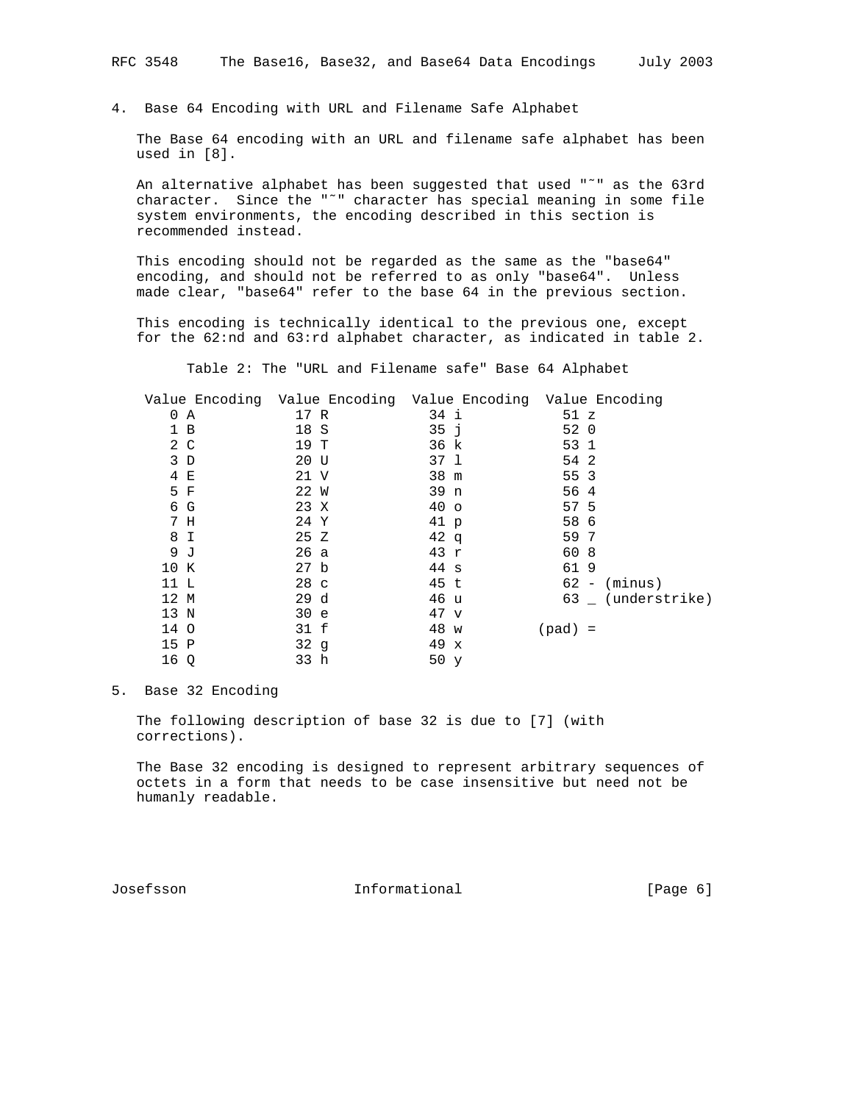4. Base 64 Encoding with URL and Filename Safe Alphabet

 The Base 64 encoding with an URL and filename safe alphabet has been used in [8].

 An alternative alphabet has been suggested that used "˜" as the 63rd character. Since the "˜" character has special meaning in some file system environments, the encoding described in this section is recommended instead.

 This encoding should not be regarded as the same as the "base64" encoding, and should not be referred to as only "base64". Unless made clear, "base64" refer to the base 64 in the previous section.

 This encoding is technically identical to the previous one, except for the 62:nd and 63:rd alphabet character, as indicated in table 2.

Table 2: The "URL and Filename safe" Base 64 Alphabet

|      | Value Encoding Value Encoding Value Encoding Value Encoding |                 |                  |
|------|-------------------------------------------------------------|-----------------|------------------|
| 0 A  | 17 R                                                        | 34 i            | 51 z             |
| 1 B  | 18 S                                                        | 35j             | 52 0             |
| 2 C  | 19 T                                                        | 36 k            | 53 1             |
| 3D   | 20 U                                                        | 37 l            | 54 2             |
| 4 E  | 21 V                                                        | 38 m            | 55 3             |
| 5 F  | 22 W                                                        | 39 n            | 56 4             |
| 6 G  | 23 X                                                        | 40 <sub>o</sub> | 57 5             |
| 7 H  | 24 Y                                                        | 41 p            | 58 6             |
| 8 I  | 25 Z                                                        | 42q             | 59 7             |
| 9 J  | 26 a                                                        | 43 r            | 60 8             |
| 10 K | 27 <sub>b</sub>                                             | 44 s            | 619              |
| 11 L | 28 <sub>c</sub>                                             | 45 t            | $62 - (minus)$   |
| 12 M | 29d                                                         | 46 u            | 63 (understrike) |
| 13 N | 30 e                                                        | 47 v            |                  |
| 14 O | 31 f                                                        | 48 w            | $(pad) =$        |
| 15 P | 32q                                                         | 49 x            |                  |
| 16 Q | 33 h                                                        | 50 y            |                  |

## 5. Base 32 Encoding

 The following description of base 32 is due to [7] (with corrections).

 The Base 32 encoding is designed to represent arbitrary sequences of octets in a form that needs to be case insensitive but need not be humanly readable.

Josefsson 10.1 Informational 100 (Page 6)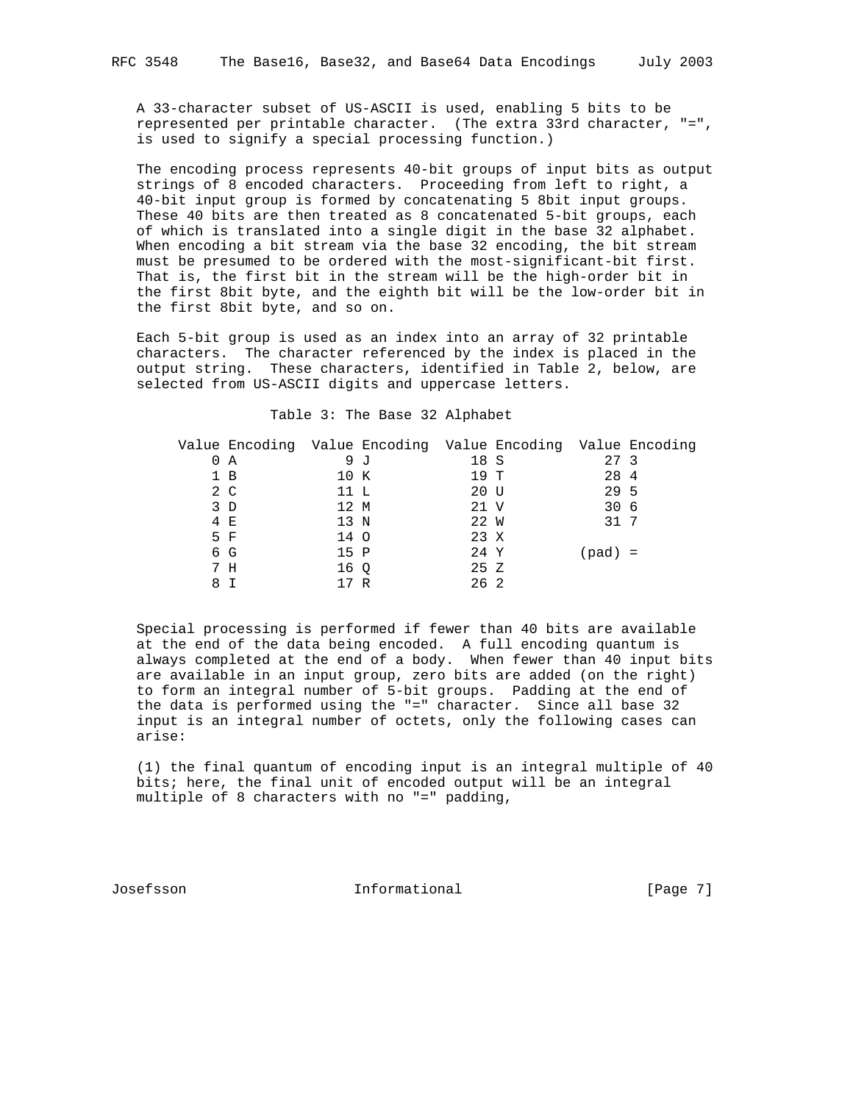A 33-character subset of US-ASCII is used, enabling 5 bits to be represented per printable character. (The extra 33rd character, "=", is used to signify a special processing function.)

 The encoding process represents 40-bit groups of input bits as output strings of 8 encoded characters. Proceeding from left to right, a 40-bit input group is formed by concatenating 5 8bit input groups. These 40 bits are then treated as 8 concatenated 5-bit groups, each of which is translated into a single digit in the base 32 alphabet. When encoding a bit stream via the base 32 encoding, the bit stream must be presumed to be ordered with the most-significant-bit first. That is, the first bit in the stream will be the high-order bit in the first 8bit byte, and the eighth bit will be the low-order bit in the first 8bit byte, and so on.

 Each 5-bit group is used as an index into an array of 32 printable characters. The character referenced by the index is placed in the output string. These characters, identified in Table 2, below, are selected from US-ASCII digits and uppercase letters.

#### Table 3: The Base 32 Alphabet

| Value Encoding Value Encoding Value Encoding Value Encoding |      |     |      |          |  |
|-------------------------------------------------------------|------|-----|------|----------|--|
| 0 A                                                         | 9 J  |     | 18 S | 27 3     |  |
| 1 B                                                         | 10 K |     | 19 T | 28 4     |  |
| 2 C                                                         | 11 L |     | 20 U | 29 5     |  |
| 3D                                                          | 12 M |     | 21 V | 30 6     |  |
| 4 E                                                         | 13 N |     | 22 W | 31 7     |  |
| 5 F                                                         | 14 O |     | 23 X |          |  |
| 6 G                                                         | 15 P |     | 24 Y | $pad) =$ |  |
| 7 H                                                         | 16 O |     | 25Z  |          |  |
| 8 T                                                         |      | ' R | 26 2 |          |  |

 Special processing is performed if fewer than 40 bits are available at the end of the data being encoded. A full encoding quantum is always completed at the end of a body. When fewer than 40 input bits are available in an input group, zero bits are added (on the right) to form an integral number of 5-bit groups. Padding at the end of the data is performed using the "=" character. Since all base 32 input is an integral number of octets, only the following cases can arise:

 (1) the final quantum of encoding input is an integral multiple of 40 bits; here, the final unit of encoded output will be an integral multiple of 8 characters with no "=" padding,

Josefsson Informational [Page 7]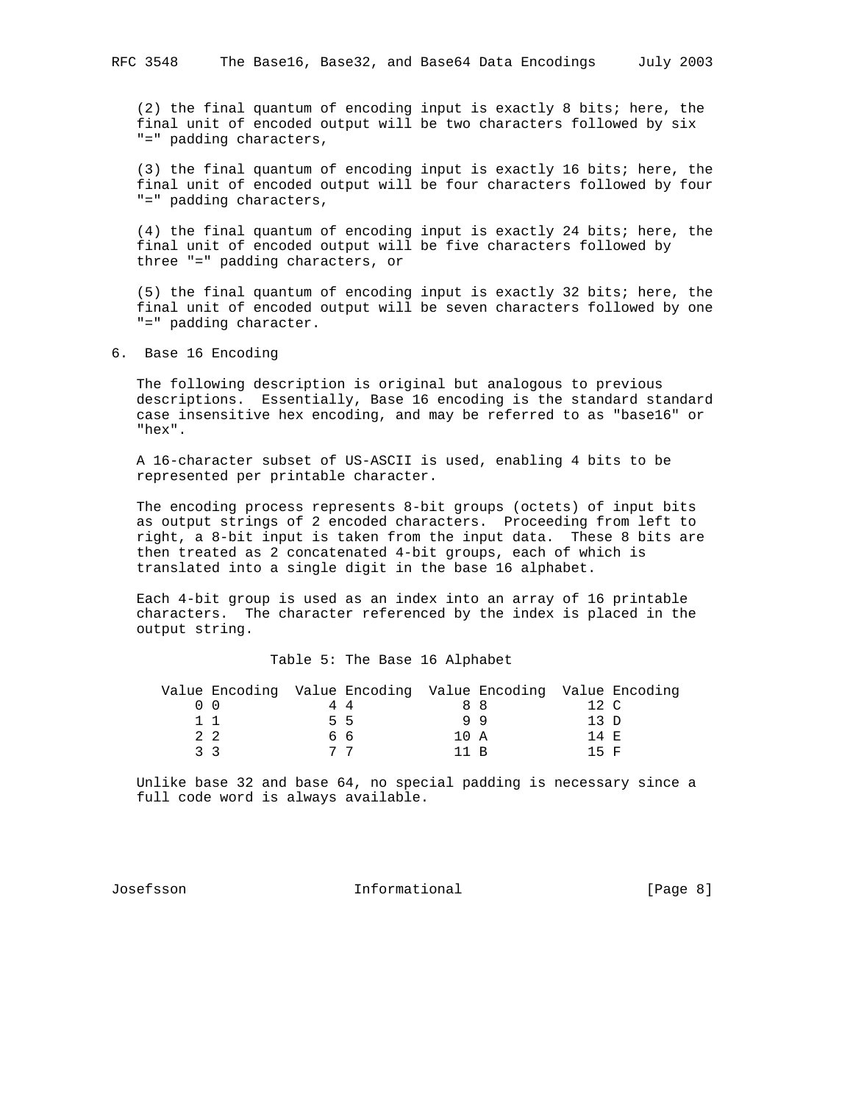(2) the final quantum of encoding input is exactly 8 bits; here, the final unit of encoded output will be two characters followed by six "=" padding characters,

 (3) the final quantum of encoding input is exactly 16 bits; here, the final unit of encoded output will be four characters followed by four "=" padding characters,

 (4) the final quantum of encoding input is exactly 24 bits; here, the final unit of encoded output will be five characters followed by three "=" padding characters, or

 (5) the final quantum of encoding input is exactly 32 bits; here, the final unit of encoded output will be seven characters followed by one "=" padding character.

6. Base 16 Encoding

 The following description is original but analogous to previous descriptions. Essentially, Base 16 encoding is the standard standard case insensitive hex encoding, and may be referred to as "base16" or "hex".

 A 16-character subset of US-ASCII is used, enabling 4 bits to be represented per printable character.

 The encoding process represents 8-bit groups (octets) of input bits as output strings of 2 encoded characters. Proceeding from left to right, a 8-bit input is taken from the input data. These 8 bits are then treated as 2 concatenated 4-bit groups, each of which is translated into a single digit in the base 16 alphabet.

 Each 4-bit group is used as an index into an array of 16 printable characters. The character referenced by the index is placed in the output string.

#### Table 5: The Base 16 Alphabet

| Value Encoding Value Encoding Value Encoding Value Encoding |    |      |    |       |  |
|-------------------------------------------------------------|----|------|----|-------|--|
|                                                             | 44 |      | 88 | 12 C  |  |
| 11                                                          | 55 |      | 99 | 13 D  |  |
| $2 \quad 2$                                                 | 66 | 10 A |    | 14 F. |  |
| २ २                                                         |    | 11 R |    | 15 F  |  |

 Unlike base 32 and base 64, no special padding is necessary since a full code word is always available.

Josefsson Informational [Page 8]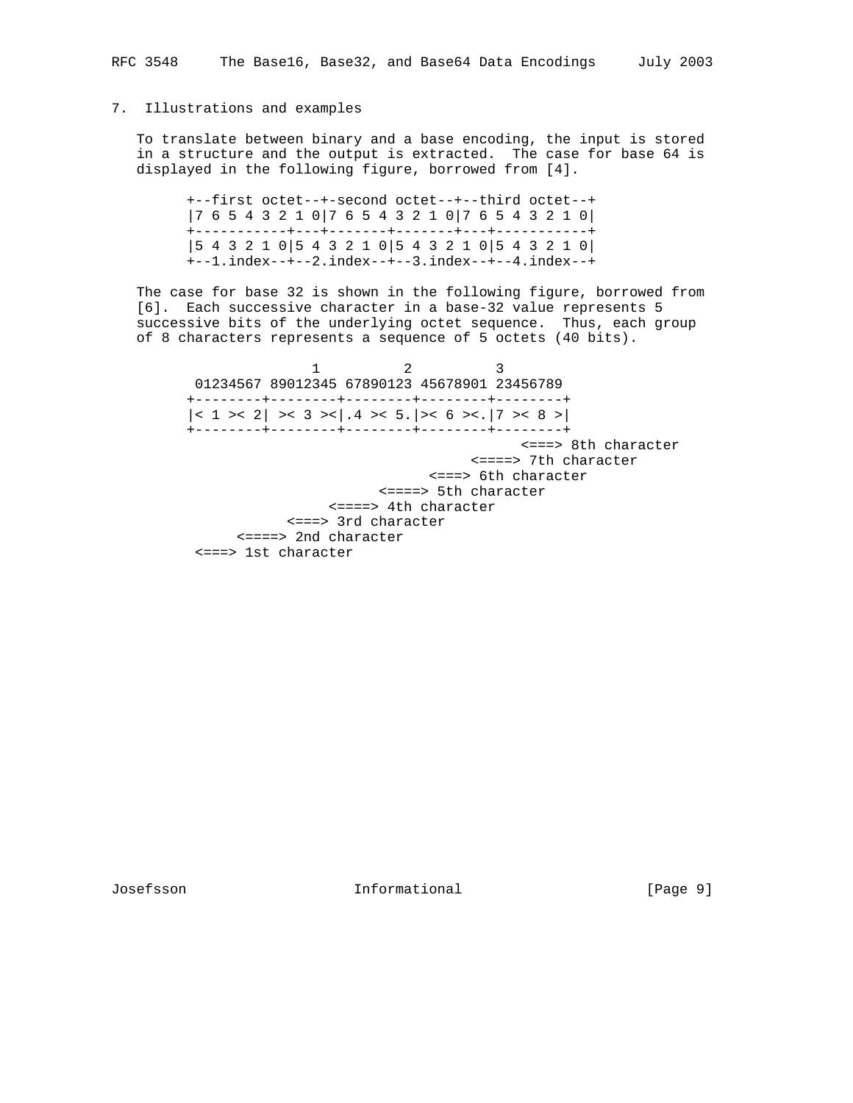## 7. Illustrations and examples

 To translate between binary and a base encoding, the input is stored in a structure and the output is extracted. The case for base 64 is displayed in the following figure, borrowed from [4].

 +--first octet--+-second octet--+--third octet--+ |7 6 5 4 3 2 1 0|7 6 5 4 3 2 1 0|7 6 5 4 3 2 1 0| +-----------+---+-------+-------+---+-----------+ |5 4 3 2 1 0|5 4 3 2 1 0|5 4 3 2 1 0|5 4 3 2 1 0| +--1.index--+--2.index--+--3.index--+--4.index--+

 The case for base 32 is shown in the following figure, borrowed from [6]. Each successive character in a base-32 value represents 5 successive bits of the underlying octet sequence. Thus, each group of 8 characters represents a sequence of 5 octets (40 bits).

1 2 3 01234567 89012345 67890123 45678901 23456789 +--------+--------+--------+--------+--------+  $|< 1$  >< 2 > < 3 > < 1.4 > < 5. | > < 6 > < . | 7 > < 8 > | +--------+--------+--------+--------+--------+ <===> 8th character <====> 7th character <===> 6th character <====> 5th character <====> 4th character <===> 3rd character <====> 2nd character <===> 1st character

Josefsson Informational [Page 9]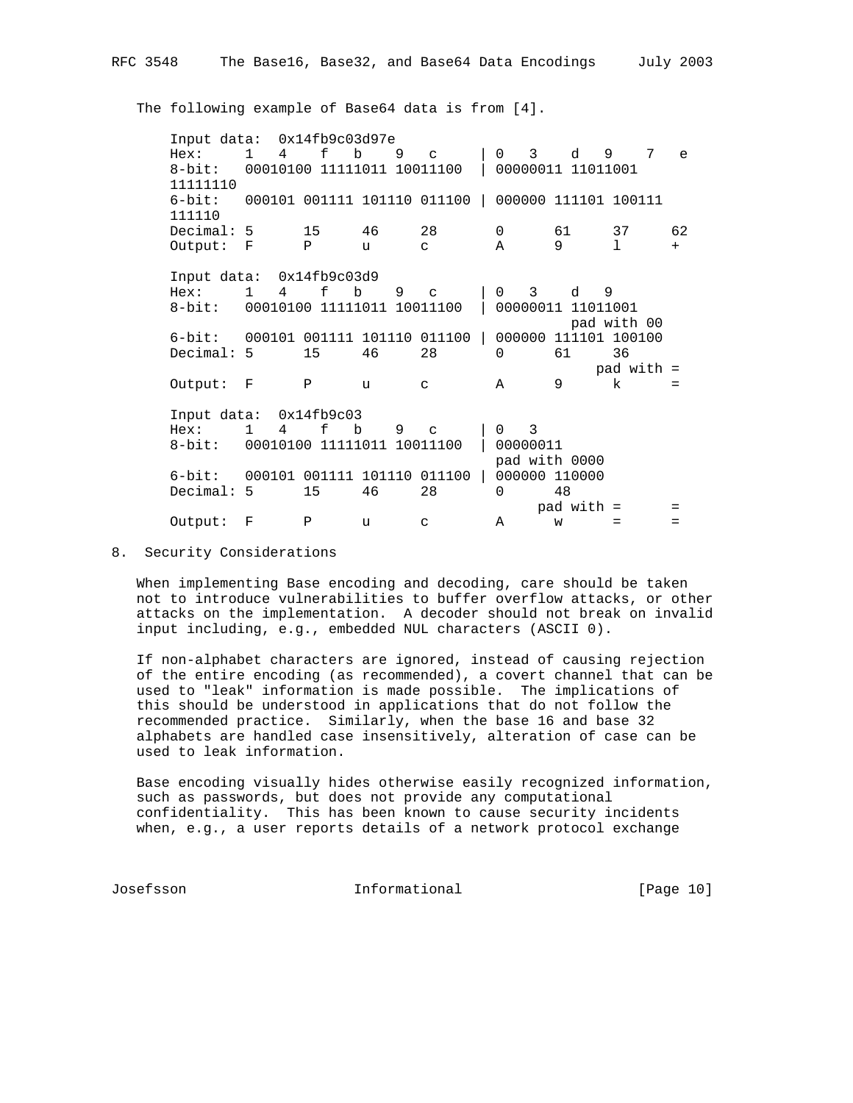The following example of Base64 data is from [4].

 Input data: 0x14fb9c03d97e Hex: 1 4 f b 9 c | 0 3 d 9 7 e 8-bit: 00010100 11111011 10011100 | 00000011 11011001 11111110 6-bit: 000101 001111 101110 011100 | 000000 111101 100111 111110 Decimal: 5 15 46 28 0 61 37 62 Output:  $F$  P u c A 9 l + Input data: 0x14fb9c03d9 Hex: 1 4 f b 9 c | 0 3 d 9 8-bit: 00010100 11111011 10011100 | 00000011 11011001 pad with 00 6-bit: 000101 001111 101110 011100 | 000000 111101 100100<br>Decimal: 5 15 46 28 0 61 36 Decimal: 5 15 46 28 0 61 36 pad with  $=$  Output: F P u c A 9 k = Input data: 0x14fb9c03 Hex: 1 4 f b 9 c | 0 3 8-bit: 00010100 11111011 10011100 | 00000011 pad with 0000 6-bit: 000101 001111 101110 011100 | 000000 110000 Decimal: 5 15 46 28 0 48  $pad with =$ Output:  $F$   $P$  u c  $A$  w =

## 8. Security Considerations

 When implementing Base encoding and decoding, care should be taken not to introduce vulnerabilities to buffer overflow attacks, or other attacks on the implementation. A decoder should not break on invalid input including, e.g., embedded NUL characters (ASCII 0).

 If non-alphabet characters are ignored, instead of causing rejection of the entire encoding (as recommended), a covert channel that can be used to "leak" information is made possible. The implications of this should be understood in applications that do not follow the recommended practice. Similarly, when the base 16 and base 32 alphabets are handled case insensitively, alteration of case can be used to leak information.

 Base encoding visually hides otherwise easily recognized information, such as passwords, but does not provide any computational confidentiality. This has been known to cause security incidents when, e.g., a user reports details of a network protocol exchange

Josefsson Informational [Page 10]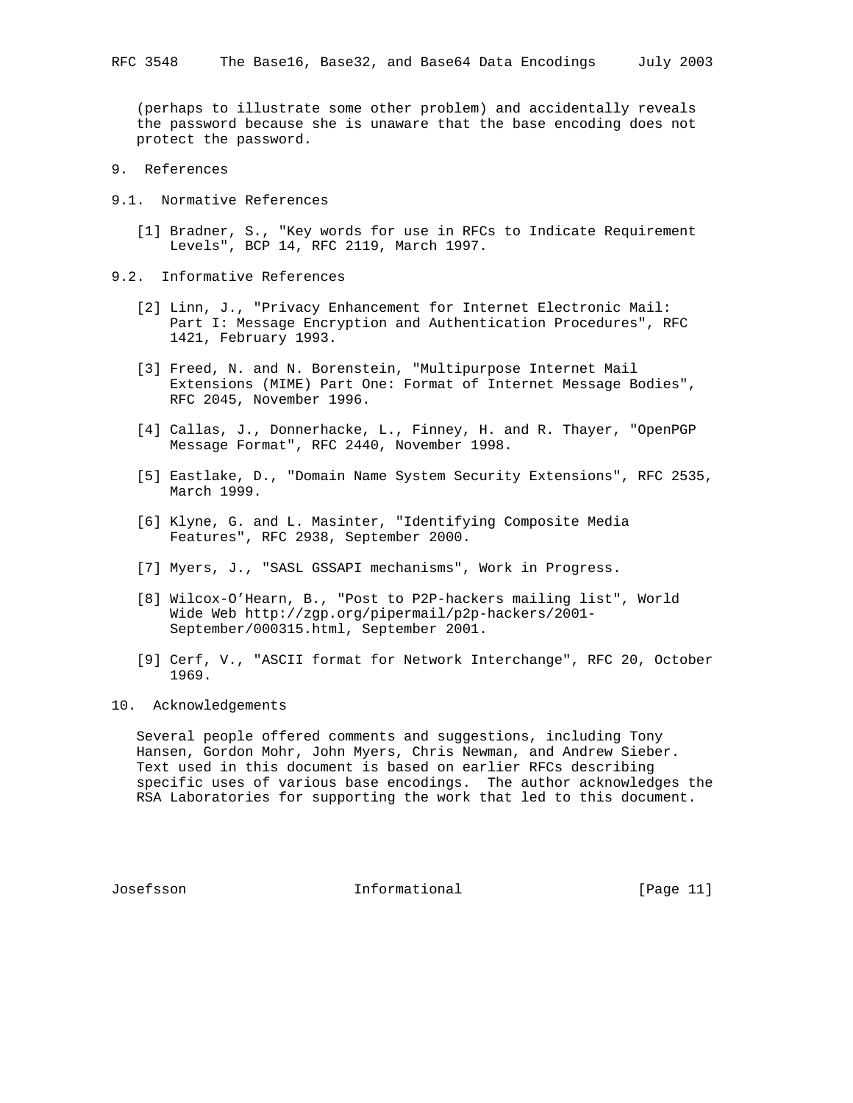(perhaps to illustrate some other problem) and accidentally reveals the password because she is unaware that the base encoding does not protect the password.

- 9. References
- 9.1. Normative References
	- [1] Bradner, S., "Key words for use in RFCs to Indicate Requirement Levels", BCP 14, RFC 2119, March 1997.
- 9.2. Informative References
	- [2] Linn, J., "Privacy Enhancement for Internet Electronic Mail: Part I: Message Encryption and Authentication Procedures", RFC 1421, February 1993.
	- [3] Freed, N. and N. Borenstein, "Multipurpose Internet Mail Extensions (MIME) Part One: Format of Internet Message Bodies", RFC 2045, November 1996.
	- [4] Callas, J., Donnerhacke, L., Finney, H. and R. Thayer, "OpenPGP Message Format", RFC 2440, November 1998.
	- [5] Eastlake, D., "Domain Name System Security Extensions", RFC 2535, March 1999.
	- [6] Klyne, G. and L. Masinter, "Identifying Composite Media Features", RFC 2938, September 2000.
	- [7] Myers, J., "SASL GSSAPI mechanisms", Work in Progress.
	- [8] Wilcox-O'Hearn, B., "Post to P2P-hackers mailing list", World Wide Web http://zgp.org/pipermail/p2p-hackers/2001- September/000315.html, September 2001.
	- [9] Cerf, V., "ASCII format for Network Interchange", RFC 20, October 1969.
- 10. Acknowledgements

 Several people offered comments and suggestions, including Tony Hansen, Gordon Mohr, John Myers, Chris Newman, and Andrew Sieber. Text used in this document is based on earlier RFCs describing specific uses of various base encodings. The author acknowledges the RSA Laboratories for supporting the work that led to this document.

Josefsson Informational [Page 11]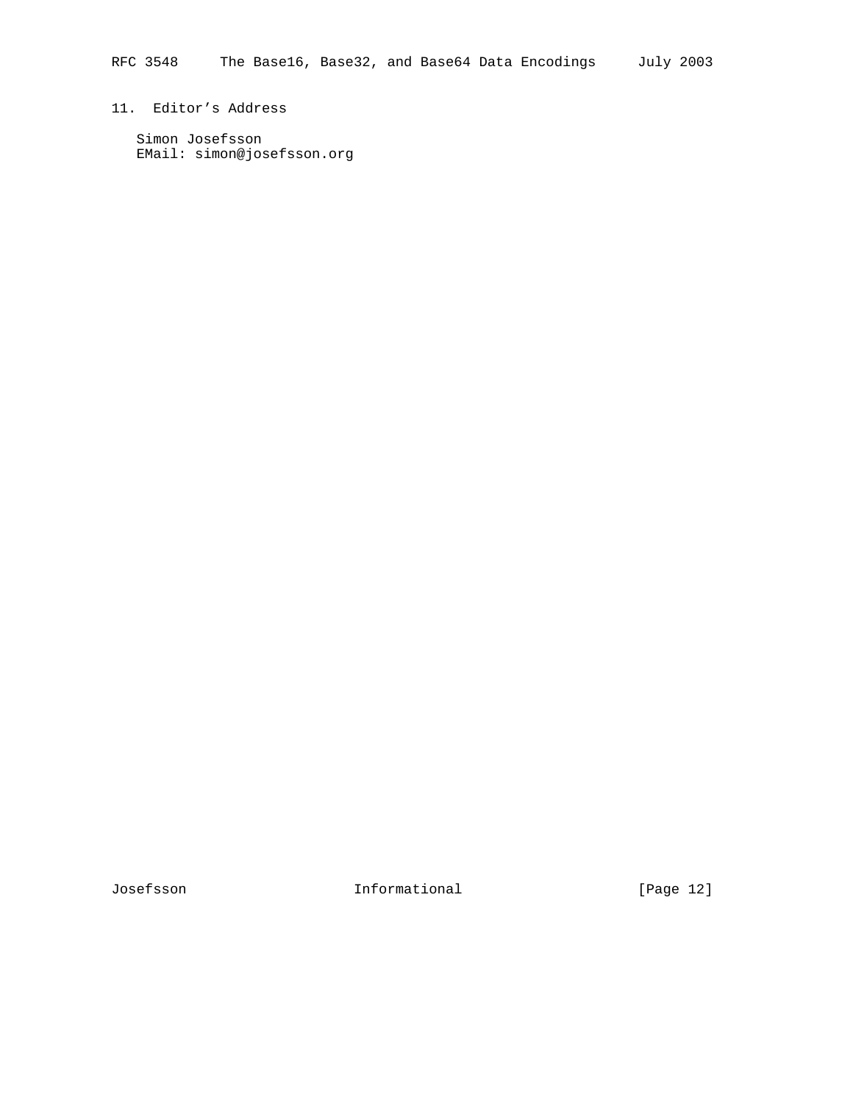# 11. Editor's Address

 Simon Josefsson EMail: simon@josefsson.org

Josefsson Informational [Page 12]